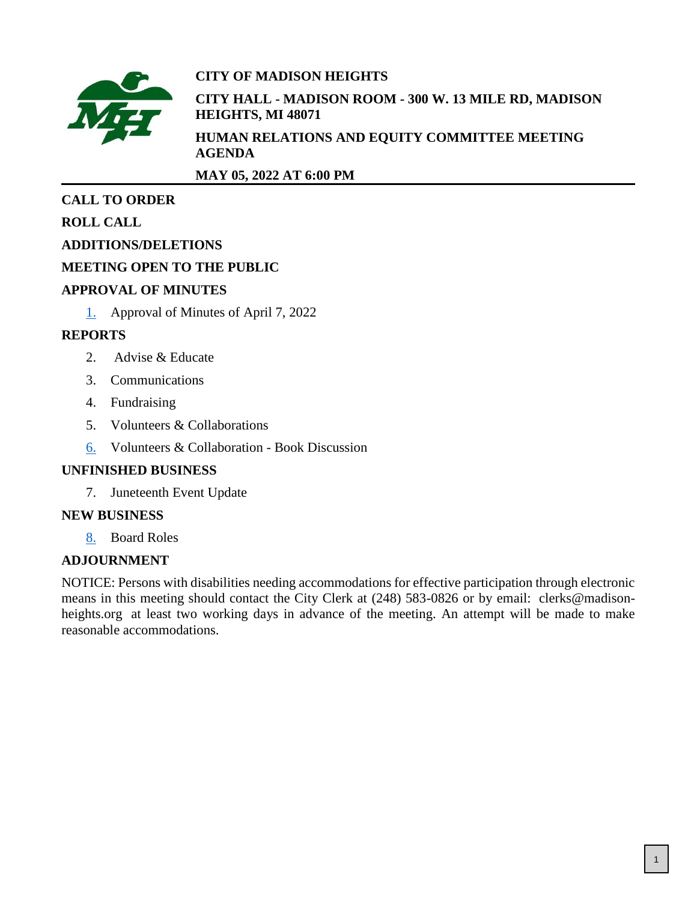

# **CITY OF MADISON HEIGHTS**

**CITY HALL - MADISON ROOM - 300 W. 13 MILE RD, MADISON HEIGHTS, MI 48071**

**HUMAN RELATIONS AND EQUITY COMMITTEE MEETING AGENDA**

**MAY 05, 2022 AT 6:00 PM**

# **CALL TO ORDER**

**ROLL CALL**

# **ADDITIONS/DELETIONS**

# **MEETING OPEN TO THE PUBLIC**

## **APPROVAL OF MINUTES**

[1.](#page-1-0) Approval of Minutes of April 7, 2022

# **REPORTS**

- 2. Advise & Educate
- 3. Communications
- 4. Fundraising
- 5. Volunteers & Collaborations
- [6.](#page-3-0) Volunteers & Collaboration Book Discussion

# **UNFINISHED BUSINESS**

7. Juneteenth Event Update

# **NEW BUSINESS**

[8.](#page-6-0) Board Roles

# **ADJOURNMENT**

NOTICE: Persons with disabilities needing accommodations for effective participation through electronic means in this meeting should contact the City Clerk at (248) 583-0826 or by email: clerks@madisonheights.org at least two working days in advance of the meeting. An attempt will be made to make reasonable accommodations.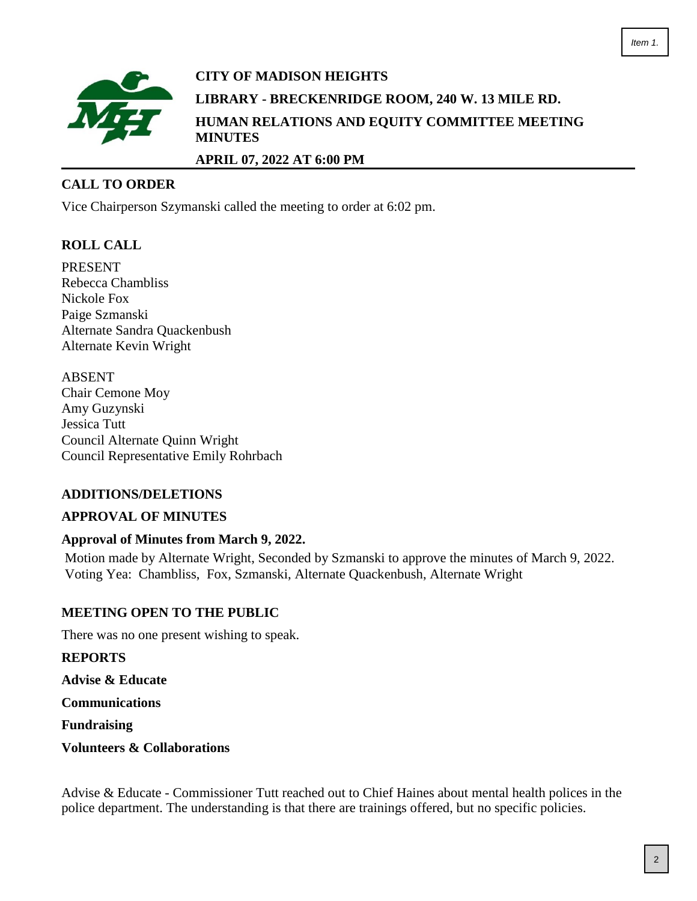<span id="page-1-0"></span>

# **CITY OF MADISON HEIGHTS LIBRARY - BRECKENRIDGE ROOM, 240 W. 13 MILE RD. HUMAN RELATIONS AND EQUITY COMMITTEE MEETING MINUTES APRIL 07, 2022 AT 6:00 PM**

### **CALL TO ORDER**

Vice Chairperson Szymanski called the meeting to order at 6:02 pm.

### **ROLL CALL**

PRESENT Rebecca Chambliss Nickole Fox Paige Szmanski Alternate Sandra Quackenbush Alternate Kevin Wright

ABSENT Chair Cemone Moy Amy Guzynski Jessica Tutt Council Alternate Quinn Wright Council Representative Emily Rohrbach

### **ADDITIONS/DELETIONS**

#### **APPROVAL OF MINUTES**

#### **Approval of Minutes from March 9, 2022.**

Motion made by Alternate Wright, Seconded by Szmanski to approve the minutes of March 9, 2022. Voting Yea: Chambliss, Fox, Szmanski, Alternate Quackenbush, Alternate Wright

#### **MEETING OPEN TO THE PUBLIC**

There was no one present wishing to speak.

**REPORTS**

**Advise & Educate**

**Communications**

**Fundraising**

**Volunteers & Collaborations**

Advise & Educate - Commissioner Tutt reached out to Chief Haines about mental health polices in the police department. The understanding is that there are trainings offered, but no specific policies.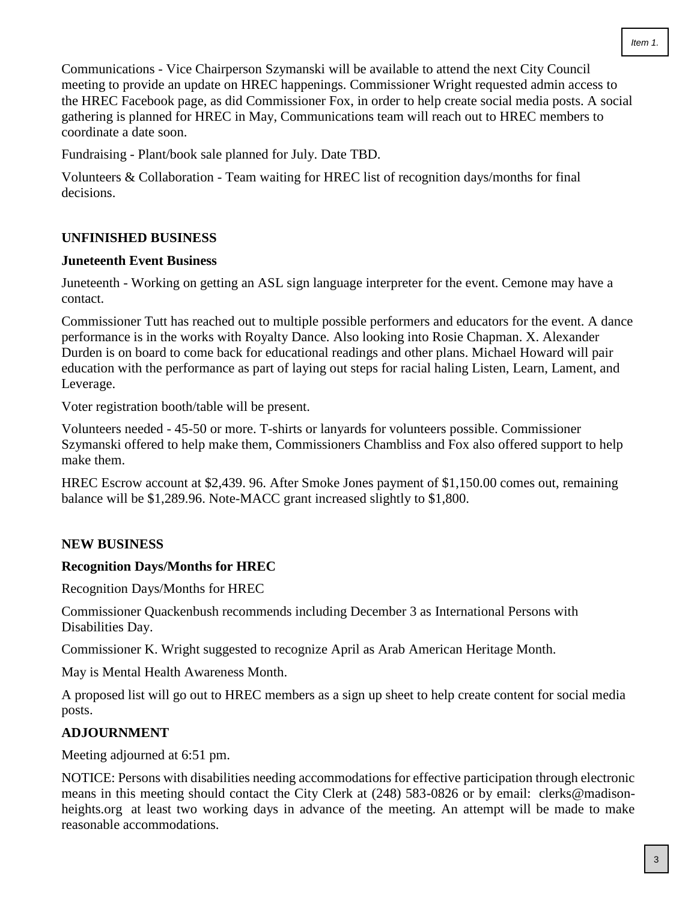Communications - Vice Chairperson Szymanski will be available to attend the next City Council meeting to provide an update on HREC happenings. Commissioner Wright requested admin access to the HREC Facebook page, as did Commissioner Fox, in order to help create social media posts. A social gathering is planned for HREC in May, Communications team will reach out to HREC members to coordinate a date soon.

Fundraising - Plant/book sale planned for July. Date TBD.

Volunteers & Collaboration - Team waiting for HREC list of recognition days/months for final decisions.

## **UNFINISHED BUSINESS**

### **Juneteenth Event Business**

Juneteenth - Working on getting an ASL sign language interpreter for the event. Cemone may have a contact.

Commissioner Tutt has reached out to multiple possible performers and educators for the event. A dance performance is in the works with Royalty Dance. Also looking into Rosie Chapman. X. Alexander Durden is on board to come back for educational readings and other plans. Michael Howard will pair education with the performance as part of laying out steps for racial haling Listen, Learn, Lament, and Leverage.

Voter registration booth/table will be present.

Volunteers needed - 45-50 or more. T-shirts or lanyards for volunteers possible. Commissioner Szymanski offered to help make them, Commissioners Chambliss and Fox also offered support to help make them.

HREC Escrow account at \$2,439. 96. After Smoke Jones payment of \$1,150.00 comes out, remaining balance will be \$1,289.96. Note-MACC grant increased slightly to \$1,800.

### **NEW BUSINESS**

### **Recognition Days/Months for HREC**

Recognition Days/Months for HREC

Commissioner Quackenbush recommends including December 3 as International Persons with Disabilities Day.

Commissioner K. Wright suggested to recognize April as Arab American Heritage Month.

May is Mental Health Awareness Month.

A proposed list will go out to HREC members as a sign up sheet to help create content for social media posts.

### **ADJOURNMENT**

Meeting adjourned at 6:51 pm.

NOTICE: Persons with disabilities needing accommodations for effective participation through electronic means in this meeting should contact the City Clerk at (248) 583-0826 or by email: clerks@madisonheights.org at least two working days in advance of the meeting. An attempt will be made to make reasonable accommodations.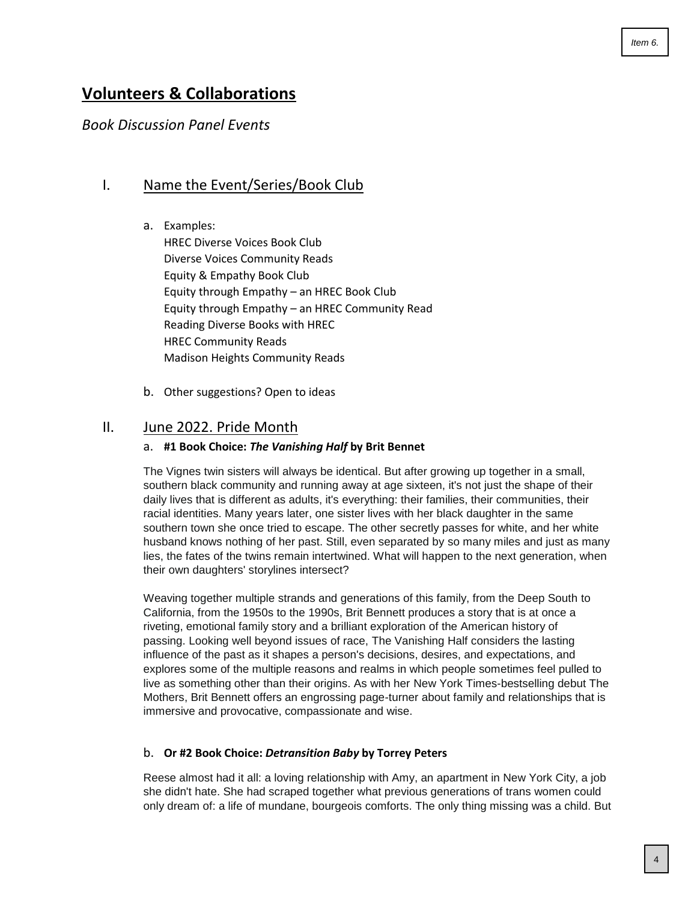# <span id="page-3-0"></span>**Volunteers & Collaborations**

## *Book Discussion Panel Events*

### I. Name the Event/Series/Book Club

- a. Examples: HREC Diverse Voices Book Club Diverse Voices Community Reads Equity & Empathy Book Club Equity through Empathy – an HREC Book Club Equity through Empathy – an HREC Community Read Reading Diverse Books with HREC HREC Community Reads Madison Heights Community Reads
- b. Other suggestions? Open to ideas

### II. June 2022. Pride Month

#### a. **#1 Book Choice:** *The Vanishing Half* **by Brit Bennet**

The Vignes twin sisters will always be identical. But after growing up together in a small, southern black community and running away at age sixteen, it's not just the shape of their daily lives that is different as adults, it's everything: their families, their communities, their racial identities. Many years later, one sister lives with her black daughter in the same southern town she once tried to escape. The other secretly passes for white, and her white husband knows nothing of her past. Still, even separated by so many miles and just as many lies, the fates of the twins remain intertwined. What will happen to the next generation, when their own daughters' storylines intersect?

Weaving together multiple strands and generations of this family, from the Deep South to California, from the 1950s to the 1990s, Brit Bennett produces a story that is at once a riveting, emotional family story and a brilliant exploration of the American history of passing. Looking well beyond issues of race, The Vanishing Half considers the lasting influence of the past as it shapes a person's decisions, desires, and expectations, and explores some of the multiple reasons and realms in which people sometimes feel pulled to live as something other than their origins. As with her New York Times-bestselling debut The Mothers, Brit Bennett offers an engrossing page-turner about family and relationships that is immersive and provocative, compassionate and wise.

#### b. **Or #2 Book Choice:** *Detransition Baby* **by Torrey Peters**

Reese almost had it all: a loving relationship with Amy, an apartment in New York City, a job she didn't hate. She had scraped together what previous generations of trans women could only dream of: a life of mundane, bourgeois comforts. The only thing missing was a child. But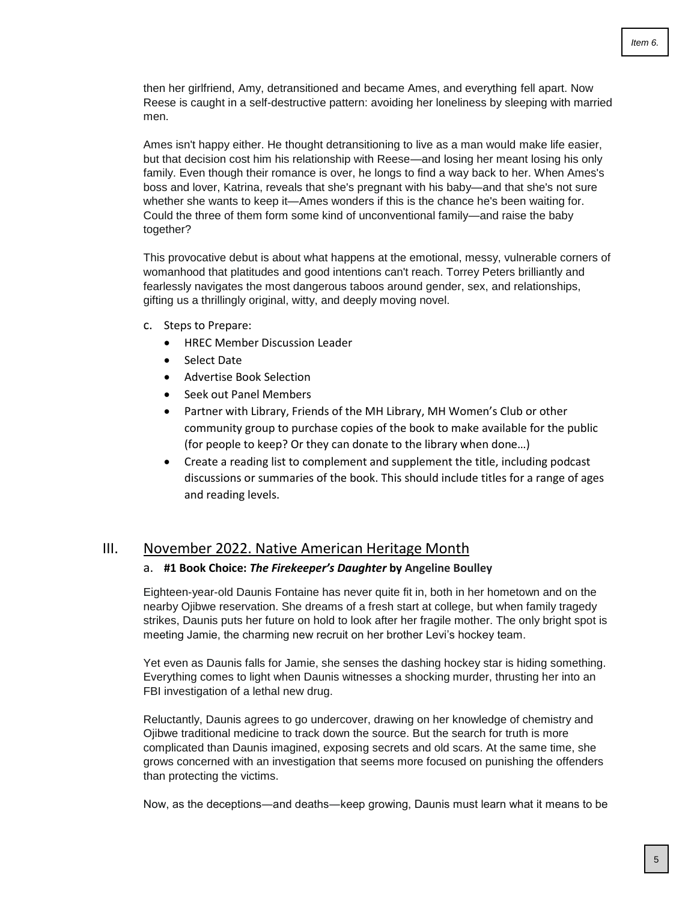then her girlfriend, Amy, detransitioned and became Ames, and everything fell apart. Now Reese is caught in a self-destructive pattern: avoiding her loneliness by sleeping with married men.

Ames isn't happy either. He thought detransitioning to live as a man would make life easier, but that decision cost him his relationship with Reese—and losing her meant losing his only family. Even though their romance is over, he longs to find a way back to her. When Ames's boss and lover, Katrina, reveals that she's pregnant with his baby—and that she's not sure whether she wants to keep it—Ames wonders if this is the chance he's been waiting for. Could the three of them form some kind of unconventional family—and raise the baby together?

This provocative debut is about what happens at the emotional, messy, vulnerable corners of womanhood that platitudes and good intentions can't reach. Torrey Peters brilliantly and fearlessly navigates the most dangerous taboos around gender, sex, and relationships, gifting us a thrillingly original, witty, and deeply moving novel.

- c. Steps to Prepare:
	- HREC Member Discussion Leader
	- Select Date
	- Advertise Book Selection
	- Seek out Panel Members
	- Partner with Library, Friends of the MH Library, MH Women's Club or other community group to purchase copies of the book to make available for the public (for people to keep? Or they can donate to the library when done…)
	- Create a reading list to complement and supplement the title, including podcast discussions or summaries of the book. This should include titles for a range of ages and reading levels.

#### III. November 2022. Native American Heritage Month

#### a. **#1 Book Choice:** *The Firekeeper's Daughter* **by Angeline Boulley**

Eighteen-year-old Daunis Fontaine has never quite fit in, both in her hometown and on the nearby Ojibwe reservation. She dreams of a fresh start at college, but when family tragedy strikes, Daunis puts her future on hold to look after her fragile mother. The only bright spot is meeting Jamie, the charming new recruit on her brother Levi's hockey team.

Yet even as Daunis falls for Jamie, she senses the dashing hockey star is hiding something. Everything comes to light when Daunis witnesses a shocking murder, thrusting her into an FBI investigation of a lethal new drug.

Reluctantly, Daunis agrees to go undercover, drawing on her knowledge of chemistry and Ojibwe traditional medicine to track down the source. But the search for truth is more complicated than Daunis imagined, exposing secrets and old scars. At the same time, she grows concerned with an investigation that seems more focused on punishing the offenders than protecting the victims.

Now, as the deceptions―and deaths―keep growing, Daunis must learn what it means to be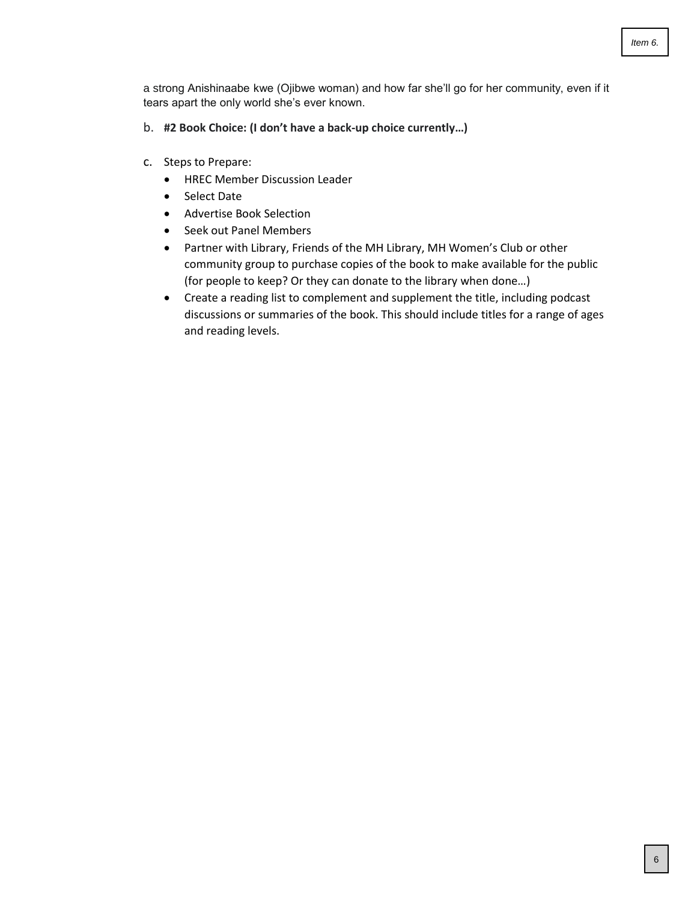a strong Anishinaabe kwe (Ojibwe woman) and how far she'll go for her community, even if it tears apart the only world she's ever known.

- b. **#2 Book Choice: (I don't have a back-up choice currently…)**
- c. Steps to Prepare:
	- HREC Member Discussion Leader
	- Select Date
	- Advertise Book Selection
	- Seek out Panel Members
	- Partner with Library, Friends of the MH Library, MH Women's Club or other community group to purchase copies of the book to make available for the public (for people to keep? Or they can donate to the library when done…)
	- Create a reading list to complement and supplement the title, including podcast discussions or summaries of the book. This should include titles for a range of ages and reading levels.